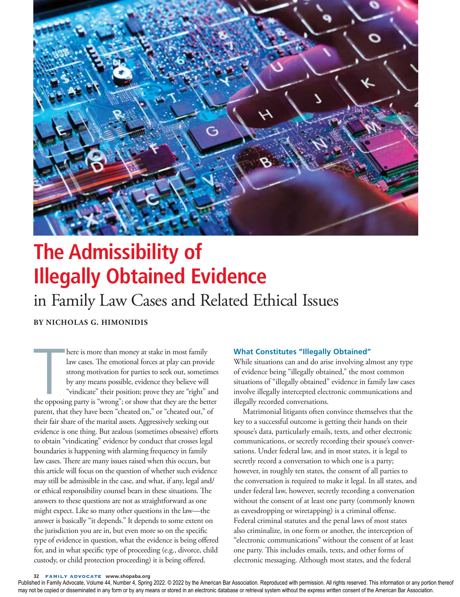

# **The Admissibility of Illegally Obtained Evidence**

## in Family Law Cases and Related Ethical Issues

**BY NICHOLAS G. HIMONIDIS**

here is more than money at stake in most family<br>law cases. The emotional forces at play can provide<br>strong motivation for parties to seek out, sometimes<br>by any means possible, evidence they believe will<br>"vindicate" their p here is more than money at stake in most family law cases. The emotional forces at play can provide strong motivation for parties to seek out, sometimes by any means possible, evidence they believe will "vindicate" their position; prove they are "right" and parent, that they have been "cheated on," or "cheated out," of their fair share of the marital assets. Aggressively seeking out evidence is one thing. But zealous (sometimes obsessive) efforts to obtain "vindicating" evidence by conduct that crosses legal boundaries is happening with alarming frequency in family law cases. There are many issues raised when this occurs, but this article will focus on the question of whether such evidence may still be admissible in the case, and what, if any, legal and/ or ethical responsibility counsel bears in these situations. The answers to these questions are not as straightforward as one might expect. Like so many other questions in the law—the answer is basically "it depends." It depends to some extent on the jurisdiction you are in, but even more so on the specific type of evidence in question, what the evidence is being offered for, and in what specific type of proceeding (e.g., divorce, child custody, or child protection proceeding) it is being offered.

### **What Constitutes "Illegally Obtained"**

While situations can and do arise involving almost any type of evidence being "illegally obtained," the most common situations of "illegally obtained" evidence in family law cases involve illegally intercepted electronic communications and illegally recorded conversations.

Matrimonial litigants often convince themselves that the key to a successful outcome is getting their hands on their spouse's data, particularly emails, texts, and other electronic communications, or secretly recording their spouse's conversations. Under federal law, and in most states, it is legal to secretly record a conversation to which one is a party; however, in roughly ten states, the consent of all parties to the conversation is required to make it legal. In all states, and under federal law, however, secretly recording a conversation without the consent of at least one party (commonly known as eavesdropping or wiretapping) is a criminal offense. Federal criminal statutes and the penal laws of most states also criminalize, in one form or another, the interception of "electronic communications" without the consent of at least one party. This includes emails, texts, and other forms of electronic messaging. Although most states, and the federal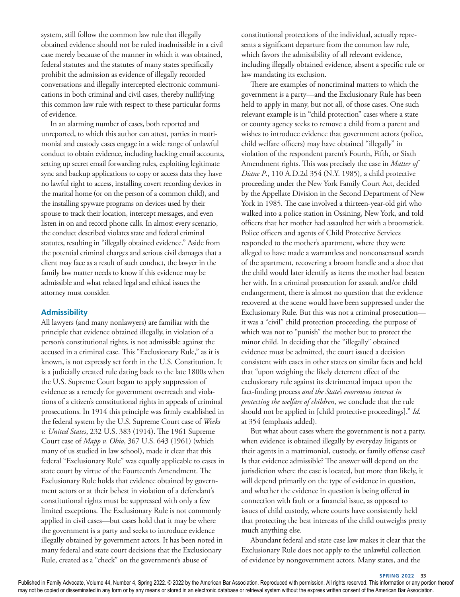system, still follow the common law rule that illegally obtained evidence should not be ruled inadmissible in a civil case merely because of the manner in which it was obtained, federal statutes and the statutes of many states specifically prohibit the admission as evidence of illegally recorded conversations and illegally intercepted electronic communications in both criminal and civil cases, thereby nullifying this common law rule with respect to these particular forms of evidence.

In an alarming number of cases, both reported and unreported, to which this author can attest, parties in matrimonial and custody cases engage in a wide range of unlawful conduct to obtain evidence, including hacking email accounts, setting up secret email forwarding rules, exploiting legitimate sync and backup applications to copy or access data they have no lawful right to access, installing covert recording devices in the marital home (or on the person of a common child), and the installing spyware programs on devices used by their spouse to track their location, intercept messages, and even listen in on and record phone calls. In almost every scenario, the conduct described violates state and federal criminal statutes, resulting in "illegally obtained evidence." Aside from the potential criminal charges and serious civil damages that a client may face as a result of such conduct, the lawyer in the family law matter needs to know if this evidence may be admissible and what related legal and ethical issues the attorney must consider.

### **Admissibility**

All lawyers (and many nonlawyers) are familiar with the principle that evidence obtained illegally, in violation of a person's constitutional rights, is not admissible against the accused in a criminal case. This "Exclusionary Rule," as it is known, is not expressly set forth in the U.S. Constitution. It is a judicially created rule dating back to the late 1800s when the U.S. Supreme Court began to apply suppression of evidence as a remedy for government overreach and violations of a citizen's constitutional rights in appeals of criminal prosecutions. In 1914 this principle was firmly established in the federal system by the U.S. Supreme Court case of *Weeks v. United States*, 232 U.S. 383 (1914). The 1961 Supreme Court case of *Mapp v. Ohio*, 367 U.S. 643 (1961) (which many of us studied in law school), made it clear that this federal "Exclusionary Rule" was equally applicable to cases in state court by virtue of the Fourteenth Amendment. The Exclusionary Rule holds that evidence obtained by government actors or at their behest in violation of a defendant's constitutional rights must be suppressed with only a few limited exceptions. The Exclusionary Rule is not commonly applied in civil cases—but cases hold that it may be where the government is a party and seeks to introduce evidence illegally obtained by government actors. It has been noted in many federal and state court decisions that the Exclusionary Rule, created as a "check" on the government's abuse of

constitutional protections of the individual, actually represents a significant departure from the common law rule, which favors the admissibility of all relevant evidence, including illegally obtained evidence, absent a specific rule or law mandating its exclusion.

There are examples of noncriminal matters to which the government is a party—and the Exclusionary Rule has been held to apply in many, but not all, of those cases. One such relevant example is in "child protection" cases where a state or county agency seeks to remove a child from a parent and wishes to introduce evidence that government actors (police, child welfare officers) may have obtained "illegally" in violation of the respondent parent's Fourth, Fifth, or Sixth Amendment rights. This was precisely the case in *Matter of Diane P*., 110 A.D.2d 354 (N.Y. 1985), a child protective proceeding under the New York Family Court Act, decided by the Appellate Division in the Second Department of New York in 1985. The case involved a thirteen-year-old girl who walked into a police station in Ossining, New York, and told officers that her mother had assaulted her with a broomstick. Police officers and agents of Child Protective Services responded to the mother's apartment, where they were alleged to have made a warrantless and nonconsensual search of the apartment, recovering a broom handle and a shoe that the child would later identify as items the mother had beaten her with. In a criminal prosecution for assault and/or child endangerment, there is almost no question that the evidence recovered at the scene would have been suppressed under the Exclusionary Rule. But this was not a criminal prosecution it was a "civil" child protection proceeding, the purpose of which was not to "punish" the mother but to protect the minor child. In deciding that the "illegally" obtained evidence must be admitted, the court issued a decision consistent with cases in other states on similar facts and held that "upon weighing the likely deterrent effect of the exclusionary rule against its detrimental impact upon the fact-finding process *and the State's enormous interest in protecting the welfare of children*, we conclude that the rule should not be applied in [child protective proceedings]." *Id*. at 354 (emphasis added).

But what about cases where the government is not a party, when evidence is obtained illegally by everyday litigants or their agents in a matrimonial, custody, or family offense case? Is that evidence admissible? The answer will depend on the jurisdiction where the case is located, but more than likely, it will depend primarily on the type of evidence in question, and whether the evidence in question is being offered in connection with fault or a financial issue, as opposed to issues of child custody, where courts have consistently held that protecting the best interests of the child outweighs pretty much anything else.

Abundant federal and state case law makes it clear that the Exclusionary Rule does not apply to the unlawful collection of evidence by nongovernment actors. Many states, and the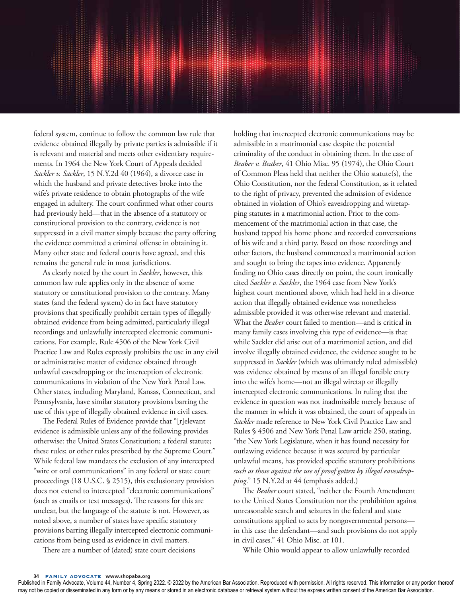federal system, continue to follow the common law rule that evidence obtained illegally by private parties is admissible if it is relevant and material and meets other evidentiary requirements. In 1964 the New York Court of Appeals decided *Sackler v. Sackler*, 15 N.Y.2d 40 (1964), a divorce case in which the husband and private detectives broke into the wife's private residence to obtain photographs of the wife engaged in adultery. The court confirmed what other courts had previously held—that in the absence of a statutory or constitutional provision to the contrary, evidence is not suppressed in a civil matter simply because the party offering the evidence committed a criminal offense in obtaining it. Many other state and federal courts have agreed, and this remains the general rule in most jurisdictions.

As clearly noted by the court in *Sackler*, however, this common law rule applies only in the absence of some statutory or constitutional provision to the contrary. Many states (and the federal system) do in fact have statutory provisions that specifically prohibit certain types of illegally obtained evidence from being admitted, particularly illegal recordings and unlawfully intercepted electronic communications. For example, Rule 4506 of the New York Civil Practice Law and Rules expressly prohibits the use in any civil or administrative matter of evidence obtained through unlawful eavesdropping or the interception of electronic communications in violation of the New York Penal Law. Other states, including Maryland, Kansas, Connecticut, and Pennsylvania, have similar statutory provisions barring the use of this type of illegally obtained evidence in civil cases.

The Federal Rules of Evidence provide that "[r]elevant evidence is admissible unless any of the following provides otherwise: the United States Constitution; a federal statute; these rules; or other rules prescribed by the Supreme Court." While federal law mandates the exclusion of any intercepted "wire or oral communications" in any federal or state court proceedings (18 U.S.C. § 2515), this exclusionary provision does not extend to intercepted "electronic communications" (such as emails or text messages). The reasons for this are unclear, but the language of the statute is not. However, as noted above, a number of states have specific statutory provisions barring illegally intercepted electronic communications from being used as evidence in civil matters.

There are a number of (dated) state court decisions

holding that intercepted electronic communications may be admissible in a matrimonial case despite the potential criminality of the conduct in obtaining them. In the case of *Beaber v. Beaber*, 41 Ohio Misc. 95 (1974), the Ohio Court of Common Pleas held that neither the Ohio statute(s), the Ohio Constitution, nor the federal Constitution, as it related to the right of privacy, prevented the admission of evidence obtained in violation of Ohio's eavesdropping and wiretapping statutes in a matrimonial action. Prior to the commencement of the matrimonial action in that case, the husband tapped his home phone and recorded conversations of his wife and a third party. Based on those recordings and other factors, the husband commenced a matrimonial action and sought to bring the tapes into evidence. Apparently finding no Ohio cases directly on point, the court ironically cited *Sackler v. Sackler*, the 1964 case from New York's highest court mentioned above, which had held in a divorce action that illegally obtained evidence was nonetheless admissible provided it was otherwise relevant and material. What the *Beaber* court failed to mention—and is critical in many family cases involving this type of evidence—is that while Sackler did arise out of a matrimonial action, and did involve illegally obtained evidence, the evidence sought to be suppressed in *Sackler* (which was ultimately ruled admissible) was evidence obtained by means of an illegal forcible entry into the wife's home—not an illegal wiretap or illegally intercepted electronic communications. In ruling that the evidence in question was not inadmissible merely because of the manner in which it was obtained, the court of appeals in *Sackler* made reference to New York Civil Practice Law and Rules § 4506 and New York Penal Law article 250, stating, "the New York Legislature, when it has found necessity for outlawing evidence because it was secured by particular unlawful means, has provided specific statutory prohibitions *such as those against the use of proof gotten by illegal eavesdropping*." 15 N.Y.2d at 44 (emphasis added.)

The *Beaber* court stated, "neither the Fourth Amendment to the United States Constitution nor the prohibition against unreasonable search and seizures in the federal and state constitutions applied to acts by nongovernmental persons in this case the defendant—and such provisions do not apply in civil cases." 41 Ohio Misc. at 101.

While Ohio would appear to allow unlawfully recorded